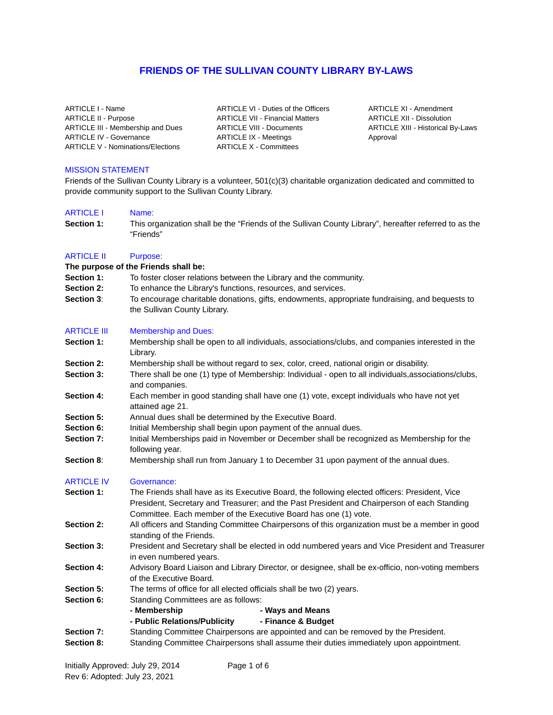# **FRIENDS OF THE SULLIVAN COUNTY LIBRARY BY-LAWS**

ARTICLE I - Name ARTICLE II - Purpose ARTICLE III - Membership and Dues ARTICLE IV - Governance ARTICLE V - Nominations/Elections

ARTICLE VI - Duties of the Officers ARTICLE VII - Financial Matters ARTICLE VIII - Documents ARTICLE IX - Meetings ARTICLE X - Committees

ARTICLE XI - Amendment ARTICLE XII - Dissolution ARTICLE XIII - Historical By-Laws Approval

### MISSION STATEMENT

Friends of the Sullivan County Library is a volunteer, 501(c)(3) charitable organization dedicated and committed to provide community support to the Sullivan County Library.

### ARTICLE I Name:

**Section 1:** This organization shall be the "Friends of the Sullivan County Library", hereafter referred to as the "Friends"

## ARTICLE II Purpose:

### **The purpose of the Friends shall be:**

- **Section 1:** To foster closer relations between the Library and the community.
- **Section 2:** To enhance the Library's functions, resources, and services.
- **Section 3**: To encourage charitable donations, gifts, endowments, appropriate fundraising, and bequests to the Sullivan County Library.

### ARTICLE III Membership and Dues:

- **Section 1:** Membership shall be open to all individuals, associations/clubs, and companies interested in the Library.
- **Section 2:** Membership shall be without regard to sex, color, creed, national origin or disability.
- **Section 3:** There shall be one (1) type of Membership: Individual open to all individuals, associations/clubs, and companies.
- **Section 4:** Each member in good standing shall have one (1) vote, except individuals who have not yet attained age 21.
- **Section 5:** Annual dues shall be determined by the Executive Board.
- **Section 6:** Initial Membership shall begin upon payment of the annual dues.
- **Section 7:** Initial Memberships paid in November or December shall be recognized as Membership for the following year.
- **Section 8:** Membership shall run from January 1 to December 31 upon payment of the annual dues.

### ARTICLE IV Governance:

- Section 1: The Friends shall have as its Executive Board, the following elected officers: President, Vice President, Secretary and Treasurer; and the Past President and Chairperson of each Standing Committee. Each member of the Executive Board has one (1) vote.
- **Section 2:** All officers and Standing Committee Chairpersons of this organization must be a member in good standing of the Friends.
- **Section 3:** President and Secretary shall be elected in odd numbered years and Vice President and Treasurer in even numbered years.
- **Section 4:** Advisory Board Liaison and Library Director, or designee, shall be ex-officio, non-voting members of the Executive Board.
- **Section 5:** The terms of office for all elected officials shall be two (2) years.
- **Section 6:** Standing Committees are as follows:

| - Membership | - Ways and Means |
|--------------|------------------|
|              |                  |

- **Public Relations/Publicity Finance & Budget**
- **Section 7:** Standing Committee Chairpersons are appointed and can be removed by the President.
- **Section 8:** Standing Committee Chairpersons shall assume their duties immediately upon appointment.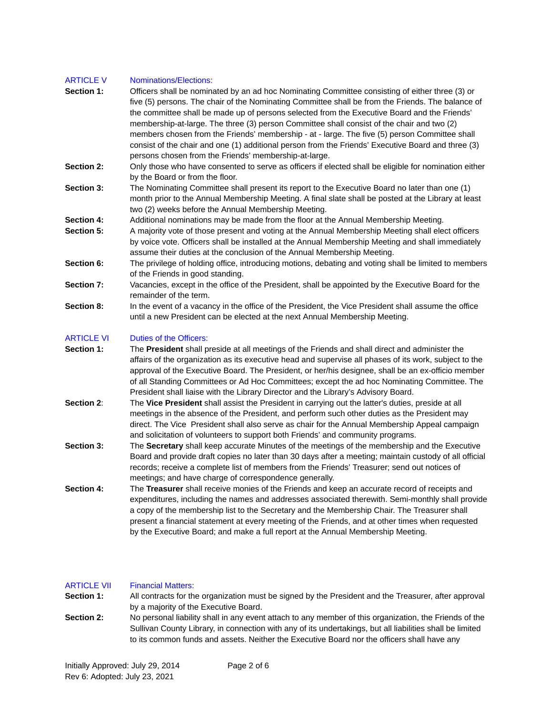## ARTICLE V Nominations/Elections:

- **Section 1:** Officers shall be nominated by an ad hoc Nominating Committee consisting of either three (3) or five (5) persons. The chair of the Nominating Committee shall be from the Friends. The balance of the committee shall be made up of persons selected from the Executive Board and the Friends' membership-at-large. The three (3) person Committee shall consist of the chair and two (2) members chosen from the Friends' membership - at - large. The five (5) person Committee shall consist of the chair and one (1) additional person from the Friends' Executive Board and three (3) persons chosen from the Friends' membership-at-large.
- **Section 2:** Only those who have consented to serve as officers if elected shall be eligible for nomination either by the Board or from the floor.
- **Section 3:** The Nominating Committee shall present its report to the Executive Board no later than one (1) month prior to the Annual Membership Meeting. A final slate shall be posted at the Library at least two (2) weeks before the Annual Membership Meeting.
- **Section 4:** Additional nominations may be made from the floor at the Annual Membership Meeting.
- **Section 5:** A majority vote of those present and voting at the Annual Membership Meeting shall elect officers by voice vote. Officers shall be installed at the Annual Membership Meeting and shall immediately assume their duties at the conclusion of the Annual Membership Meeting.
- **Section 6:** The privilege of holding office, introducing motions, debating and voting shall be limited to members of the Friends in good standing.
- **Section 7:** Vacancies, except in the office of the President, shall be appointed by the Executive Board for the remainder of the term.
- **Section 8:** In the event of a vacancy in the office of the President, the Vice President shall assume the office until a new President can be elected at the next Annual Membership Meeting.

## ARTICLE VI Duties of the Officers:

- **Section 1:** The **President** shall preside at all meetings of the Friends and shall direct and administer the affairs of the organization as its executive head and supervise all phases of its work, subject to the approval of the Executive Board. The President, or her/his designee, shall be an ex-officio member of all Standing Committees or Ad Hoc Committees; except the ad hoc Nominating Committee. The President shall liaise with the Library Director and the Library's Advisory Board.
- **Section 2**: The **Vice President** shall assist the President in carrying out the latter's duties, preside at all meetings in the absence of the President, and perform such other duties as the President may direct. The Vice President shall also serve as chair for the Annual Membership Appeal campaign and solicitation of volunteers to support both Friends' and community programs.
- **Section 3:** The **Secretary** shall keep accurate Minutes of the meetings of the membership and the Executive Board and provide draft copies no later than 30 days after a meeting; maintain custody of all official records; receive a complete list of members from the Friends' Treasurer; send out notices of meetings; and have charge of correspondence generally.
- **Section 4:** The **Treasurer** shall receive monies of the Friends and keep an accurate record of receipts and expenditures, including the names and addresses associated therewith. Semi-monthly shall provide a copy of the membership list to the Secretary and the Membership Chair. The Treasurer shall present a financial statement at every meeting of the Friends, and at other times when requested by the Executive Board; and make a full report at the Annual Membership Meeting.

# ARTICLE VII Financial Matters:

**Section 1:** All contracts for the organization must be signed by the President and the Treasurer, after approval by a majority of the Executive Board.

**Section 2:** No personal liability shall in any event attach to any member of this organization, the Friends of the Sullivan County Library, in connection with any of its undertakings, but all liabilities shall be limited to its common funds and assets. Neither the Executive Board nor the officers shall have any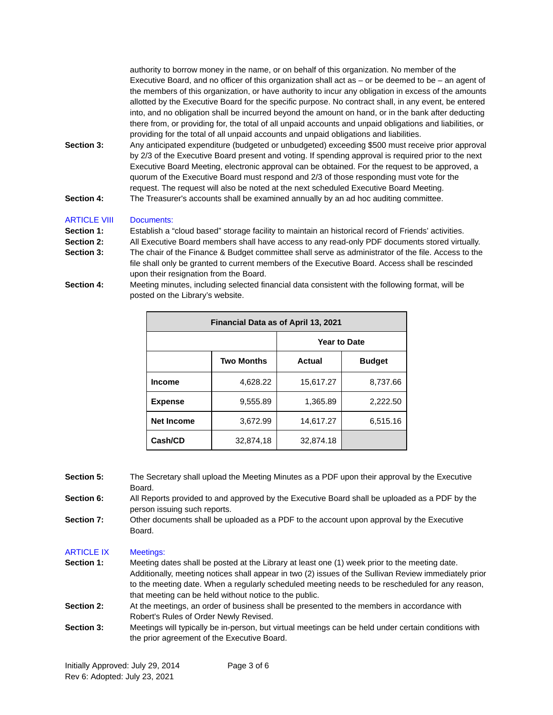authority to borrow money in the name, or on behalf of this organization. No member of the Executive Board, and no officer of this organization shall act as  $-$  or be deemed to be  $-$  an agent of the members of this organization, or have authority to incur any obligation in excess of the amounts allotted by the Executive Board for the specific purpose. No contract shall, in any event, be entered into, and no obligation shall be incurred beyond the amount on hand, or in the bank after deducting there from, or providing for, the total of all unpaid accounts and unpaid obligations and liabilities, or providing for the total of all unpaid accounts and unpaid obligations and liabilities.

**Section 3:** Any anticipated expenditure (budgeted or unbudgeted) exceeding \$500 must receive prior approval by 2/3 of the Executive Board present and voting. If spending approval is required prior to the next Executive Board Meeting, electronic approval can be obtained. For the request to be approved, a quorum of the Executive Board must respond and 2/3 of those responding must vote for the request. The request will also be noted at the next scheduled Executive Board Meeting. **Section 4:** The Treasurer's accounts shall be examined annually by an ad hoc auditing committee.

# ARTICLE VIII Documents:

- **Section 1:** Establish a "cloud based" storage facility to maintain an historical record of Friends' activities.
- **Section 2:** All Executive Board members shall have access to any read-only PDF documents stored virtually.
- **Section 3:** The chair of the Finance & Budget committee shall serve as administrator of the file. Access to the file shall only be granted to current members of the Executive Board. Access shall be rescinded upon their resignation from the Board.
- **Section 4:** Meeting minutes, including selected financial data consistent with the following format, will be posted on the Library's website.

| Financial Data as of April 13, 2021 |                   |                     |               |  |
|-------------------------------------|-------------------|---------------------|---------------|--|
|                                     |                   | <b>Year to Date</b> |               |  |
|                                     | <b>Two Months</b> | Actual              | <b>Budget</b> |  |
| <b>Income</b>                       | 4.628.22          | 15,617.27           | 8,737.66      |  |
| <b>Expense</b>                      | 9,555.89          | 1,365.89            | 2,222.50      |  |
| <b>Net Income</b>                   | 3,672.99          | 14,617.27           | 6,515.16      |  |
| Cash/CD                             | 32.874.18         | 32.874.18           |               |  |

**Section 5:** The Secretary shall upload the Meeting Minutes as a PDF upon their approval by the Executive Board. **Section 6:** All Reports provided to and approved by the Executive Board shall be uploaded as a PDF by the person issuing such reports.

Section 7: Other documents shall be uploaded as a PDF to the account upon approval by the Executive Board.

## ARTICLE IX Meetings:

- **Section 1:** Meeting dates shall be posted at the Library at least one (1) week prior to the meeting date. Additionally, meeting notices shall appear in two (2) issues of the Sullivan Review immediately prior to the meeting date. When a regularly scheduled meeting needs to be rescheduled for any reason, that meeting can be held without notice to the public.
- **Section 2:** At the meetings, an order of business shall be presented to the members in accordance with Robert's Rules of Order Newly Revised.
- **Section 3:** Meetings will typically be in-person, but virtual meetings can be held under certain conditions with the prior agreement of the Executive Board.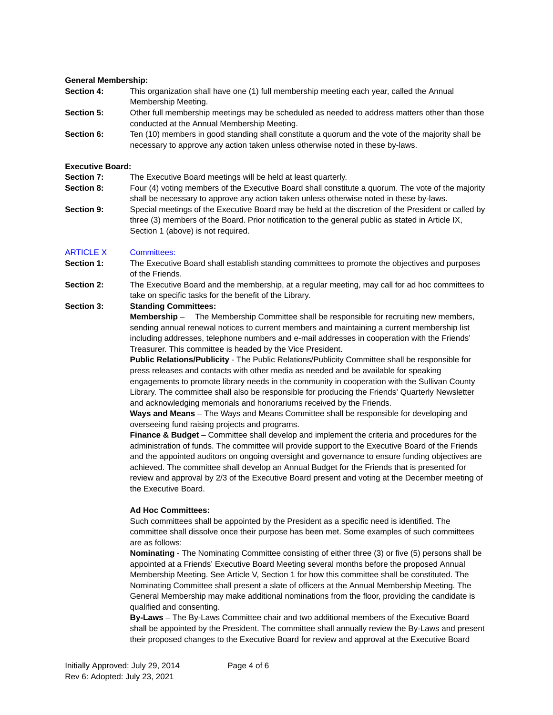### **General Membership:**

- **Section 4:** This organization shall have one (1) full membership meeting each year, called the Annual Membership Meeting.
- **Section 5:** Other full membership meetings may be scheduled as needed to address matters other than those conducted at the Annual Membership Meeting.
- **Section 6:** Ten (10) members in good standing shall constitute a quorum and the vote of the majority shall be necessary to approve any action taken unless otherwise noted in these by-laws.

### **Executive Board:**

- **Section 7:** The Executive Board meetings will be held at least quarterly.
- **Section 8:** Four (4) voting members of the Executive Board shall constitute a quorum. The vote of the majority shall be necessary to approve any action taken unless otherwise noted in these by-laws.
- **Section 9:** Special meetings of the Executive Board may be held at the discretion of the President or called by three (3) members of the Board. Prior notification to the general public as stated in Article IX, Section 1 (above) is not required.

### ARTICLE X Committees:

- **Section 1:** The Executive Board shall establish standing committees to promote the objectives and purposes of the Friends.
- **Section 2:** The Executive Board and the membership, at a regular meeting, may call for ad hoc committees to take on specific tasks for the benefit of the Library.

### **Section 3: Standing Committees:**

**Membership** – The Membership Committee shall be responsible for recruiting new members, sending annual renewal notices to current members and maintaining a current membership list including addresses, telephone numbers and e-mail addresses in cooperation with the Friends' Treasurer. This committee is headed by the Vice President.

**Public Relations/Publicity** - The Public Relations/Publicity Committee shall be responsible for press releases and contacts with other media as needed and be available for speaking engagements to promote library needs in the community in cooperation with the Sullivan County Library. The committee shall also be responsible for producing the Friends' Quarterly Newsletter and acknowledging memorials and honorariums received by the Friends.

**Ways and Means** – The Ways and Means Committee shall be responsible for developing and overseeing fund raising projects and programs.

**Finance & Budget** – Committee shall develop and implement the criteria and procedures for the administration of funds. The committee will provide support to the Executive Board of the Friends and the appointed auditors on ongoing oversight and governance to ensure funding objectives are achieved. The committee shall develop an Annual Budget for the Friends that is presented for review and approval by 2/3 of the Executive Board present and voting at the December meeting of the Executive Board.

### **Ad Hoc Committees:**

Such committees shall be appointed by the President as a specific need is identified. The committee shall dissolve once their purpose has been met. Some examples of such committees are as follows:

**Nominating** - The Nominating Committee consisting of either three (3) or five (5) persons shall be appointed at a Friends' Executive Board Meeting several months before the proposed Annual Membership Meeting. See Article V, Section 1 for how this committee shall be constituted. The Nominating Committee shall present a slate of officers at the Annual Membership Meeting. The General Membership may make additional nominations from the floor, providing the candidate is qualified and consenting.

**By-Laws** – The By-Laws Committee chair and two additional members of the Executive Board shall be appointed by the President. The committee shall annually review the By-Laws and present their proposed changes to the Executive Board for review and approval at the Executive Board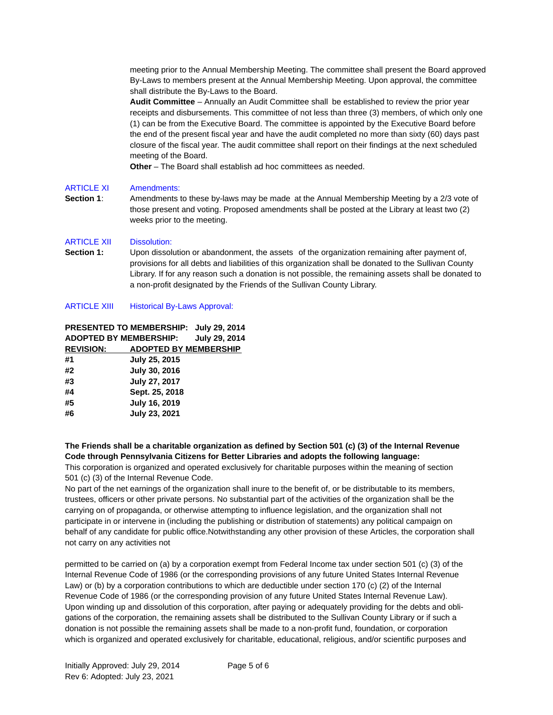meeting prior to the Annual Membership Meeting. The committee shall present the Board approved By-Laws to members present at the Annual Membership Meeting. Upon approval, the committee shall distribute the By-Laws to the Board.

**Audit Committee** – Annually an Audit Committee shall be established to review the prior year receipts and disbursements. This committee of not less than three (3) members, of which only one (1) can be from the Executive Board. The committee is appointed by the Executive Board before the end of the present fiscal year and have the audit completed no more than sixty (60) days past closure of the fiscal year. The audit committee shall report on their findings at the next scheduled meeting of the Board.

**Other** – The Board shall establish ad hoc committees as needed.

# ARTICLE XI Amendments:

**Section 1**: Amendments to these by-laws may be made at the Annual Membership Meeting by a 2/3 vote of those present and voting. Proposed amendments shall be posted at the Library at least two (2) weeks prior to the meeting.

# ARTICLE XII Dissolution:

**Section 1:** Upon dissolution or abandonment, the assets of the organization remaining after payment of, provisions for all debts and liabilities of this organization shall be donated to the Sullivan County Library. If for any reason such a donation is not possible, the remaining assets shall be donated to a non-profit designated by the Friends of the Sullivan County Library.

# ARTICLE XIII Historical By-Laws Approval:

|                               | PRESENTED TO MEMBERSHIP:     | July 29, 2014        |
|-------------------------------|------------------------------|----------------------|
| <b>ADOPTED BY MEMBERSHIP:</b> |                              | <b>July 29, 2014</b> |
| <b>REVISION:</b>              | <b>ADOPTED BY MEMBERSHIP</b> |                      |
| #1                            | July 25, 2015                |                      |
| #2                            | <b>July 30, 2016</b>         |                      |
| #3                            | July 27, 2017                |                      |
| #4                            | Sept. 25, 2018               |                      |
| #5                            | July 16, 2019                |                      |
| #6                            | July 23, 2021                |                      |
|                               |                              |                      |

**The Friends shall be a charitable organization as defined by Section 501 (c) (3) of the Internal Revenue Code through Pennsylvania Citizens for Better Libraries and adopts the following language:** This corporation is organized and operated exclusively for charitable purposes within the meaning of section

501 (c) (3) of the Internal Revenue Code.

No part of the net earnings of the organization shall inure to the benefit of, or be distributable to its members, trustees, officers or other private persons. No substantial part of the activities of the organization shall be the carrying on of propaganda, or otherwise attempting to influence legislation, and the organization shall not participate in or intervene in (including the publishing or distribution of statements) any political campaign on behalf of any candidate for public office.Notwithstanding any other provision of these Articles, the corporation shall not carry on any activities not

permitted to be carried on (a) by a corporation exempt from Federal Income tax under section 501 (c) (3) of the Internal Revenue Code of 1986 (or the corresponding provisions of any future United States Internal Revenue Law) or (b) by a corporation contributions to which are deductible under section 170 (c) (2) of the Internal Revenue Code of 1986 (or the corresponding provision of any future United States Internal Revenue Law). Upon winding up and dissolution of this corporation, after paying or adequately providing for the debts and obligations of the corporation, the remaining assets shall be distributed to the Sullivan County Library or if such a donation is not possible the remaining assets shall be made to a non‐profit fund, foundation, or corporation which is organized and operated exclusively for charitable, educational, religious, and/or scientific purposes and